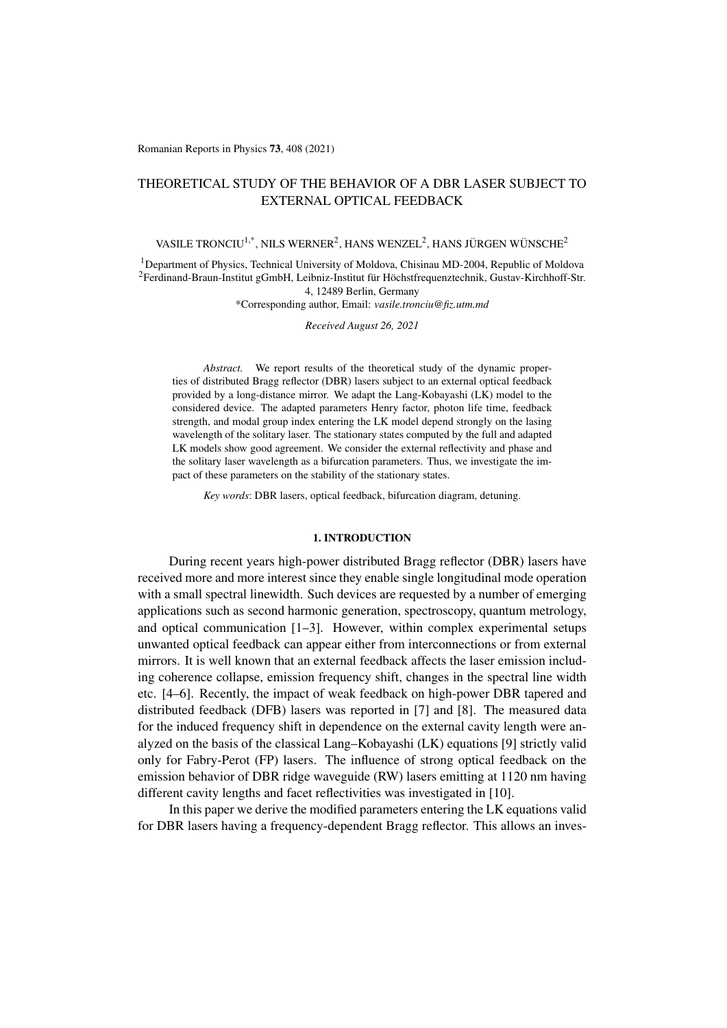Romanian Reports in Physics 73, 408 (2021)

# THEORETICAL STUDY OF THE BEHAVIOR OF A DBR LASER SUBJECT TO EXTERNAL OPTICAL FEEDBACK

# VASILE TRONCIU<sup>1,\*</sup>, NILS WERNER<sup>2</sup>, HANS WENZEL<sup>2</sup>, HANS JÜRGEN WÜNSCHE<sup>2</sup>

<sup>1</sup>Department of Physics, Technical University of Moldova, Chisinau MD-2004, Republic of Moldova  $^{2}$ Ferdinand-Braun-Institut gGmbH, Leibniz-Institut für Höchstfrequenztechnik, Gustav-Kirchhoff-Str. 4, 12489 Berlin, Germany

\*Corresponding author, Email: *vasile.tronciu@fiz.utm.md*

*Received August 26, 2021*

*Abstract.* We report results of the theoretical study of the dynamic properties of distributed Bragg reflector (DBR) lasers subject to an external optical feedback provided by a long-distance mirror. We adapt the Lang-Kobayashi (LK) model to the considered device. The adapted parameters Henry factor, photon life time, feedback strength, and modal group index entering the LK model depend strongly on the lasing wavelength of the solitary laser. The stationary states computed by the full and adapted LK models show good agreement. We consider the external reflectivity and phase and the solitary laser wavelength as a bifurcation parameters. Thus, we investigate the impact of these parameters on the stability of the stationary states.

*Key words*: DBR lasers, optical feedback, bifurcation diagram, detuning.

#### 1. INTRODUCTION

During recent years high-power distributed Bragg reflector (DBR) lasers have received more and more interest since they enable single longitudinal mode operation with a small spectral linewidth. Such devices are requested by a number of emerging applications such as second harmonic generation, spectroscopy, quantum metrology, and optical communication [\[1–](#page-11-0)[3\]](#page-11-1). However, within complex experimental setups unwanted optical feedback can appear either from interconnections or from external mirrors. It is well known that an external feedback affects the laser emission including coherence collapse, emission frequency shift, changes in the spectral line width etc. [\[4–](#page-11-2)[6\]](#page-11-3). Recently, the impact of weak feedback on high-power DBR tapered and distributed feedback (DFB) lasers was reported in [\[7\]](#page-11-4) and [\[8\]](#page-11-5). The measured data for the induced frequency shift in dependence on the external cavity length were analyzed on the basis of the classical Lang–Kobayashi (LK) equations [\[9\]](#page-11-6) strictly valid only for Fabry-Perot (FP) lasers. The influence of strong optical feedback on the emission behavior of DBR ridge waveguide (RW) lasers emitting at 1120 nm having different cavity lengths and facet reflectivities was investigated in [\[10\]](#page-11-7).

In this paper we derive the modified parameters entering the LK equations valid for DBR lasers having a frequency-dependent Bragg reflector. This allows an inves-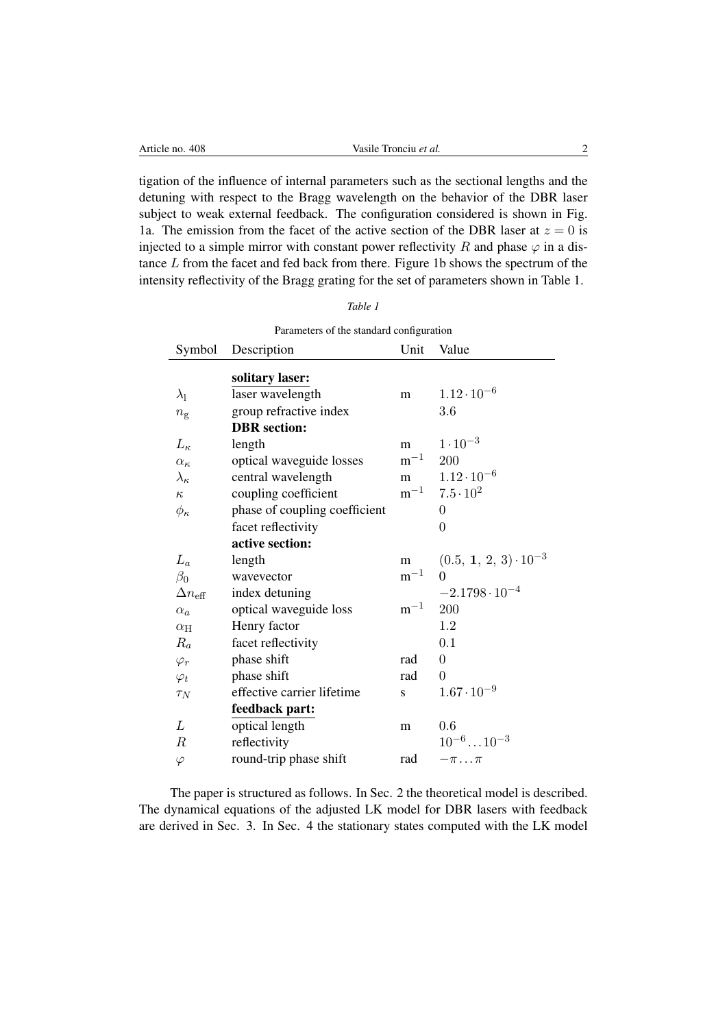| Article no. 408 | Vasile Tronciu et al.                                                                  |  |  |
|-----------------|----------------------------------------------------------------------------------------|--|--|
|                 |                                                                                        |  |  |
|                 | tigation of the influence of internal parameters such as the sectional lengths and the |  |  |

detuning with respect to the Bragg wavelength on the behavior of the DBR laser subject to weak external feedback. The configuration considered is shown in Fig. [1a](#page-2-0). The emission from the facet of the active section of the DBR laser at  $z = 0$  is injected to a simple mirror with constant power reflectivity R and phase  $\varphi$  in a distance L from the facet and fed back from there. Figure [1b](#page-2-0) shows the spectrum of the intensity reflectivity of the Bragg grating for the set of parameters shown in Table 1.

| Parameters of the standard configuration |                               |          |                                |  |
|------------------------------------------|-------------------------------|----------|--------------------------------|--|
| Symbol                                   | Description                   | Unit     | Value                          |  |
|                                          | solitary laser:               |          |                                |  |
| $\lambda_{\rm l}$                        | laser wavelength              | m        | $1.12 \cdot 10^{-6}$           |  |
| $n_{\rm g}$                              | group refractive index        |          | 3.6                            |  |
|                                          | <b>DBR</b> section:           |          |                                |  |
| $L_{\kappa}$                             | length                        | m        | $1 \cdot 10^{-3}$              |  |
| $\alpha_{\kappa}$                        | optical waveguide losses      | $m^{-1}$ | 200                            |  |
| $\lambda_{\kappa}$                       | central wavelength            | m        | $1.12 \cdot 10^{-6}$           |  |
| $\kappa$                                 | coupling coefficient          | $m^{-1}$ | $7.5 \cdot 10^{2}$             |  |
| $\phi_{\kappa}$                          | phase of coupling coefficient |          | $\Omega$                       |  |
|                                          | facet reflectivity            |          | $\overline{0}$                 |  |
|                                          | active section:               |          |                                |  |
| $L_a$                                    | length                        | m        | $(0.5, 1, 2, 3) \cdot 10^{-3}$ |  |
| $\beta_0$                                | wavevector                    | $m^{-1}$ | $\Omega$                       |  |
| $\Delta n_{\text{eff}}$                  | index detuning                |          | $-2.1798 \cdot 10^{-4}$        |  |
| $\alpha_a$                               | optical waveguide loss        | $m^{-1}$ | 200                            |  |
| $\alpha$ H                               | Henry factor                  |          | 1.2                            |  |
| $R_a$                                    | facet reflectivity            |          | 0.1                            |  |
| $\varphi_r$                              | phase shift                   | rad      | $\overline{0}$                 |  |
| $\varphi_t$                              | phase shift                   | rad      | $\theta$                       |  |
| $\tau_N$                                 | effective carrier lifetime    | S        | $1.67 \cdot 10^{-9}$           |  |
|                                          | feedback part:                |          |                                |  |
| L                                        | optical length                | m        | 0.6                            |  |
| $\boldsymbol{R}$                         | reflectivity                  |          | $10^{-6} \dots 10^{-3}$        |  |
| $\varphi$                                | round-trip phase shift        | rad      | $-\pi \dots \pi$               |  |

The paper is structured as follows. In Sec. 2 the theoretical model is described. The dynamical equations of the adjusted LK model for DBR lasers with feedback are derived in Sec. 3. In Sec. 4 the stationary states computed with the LK model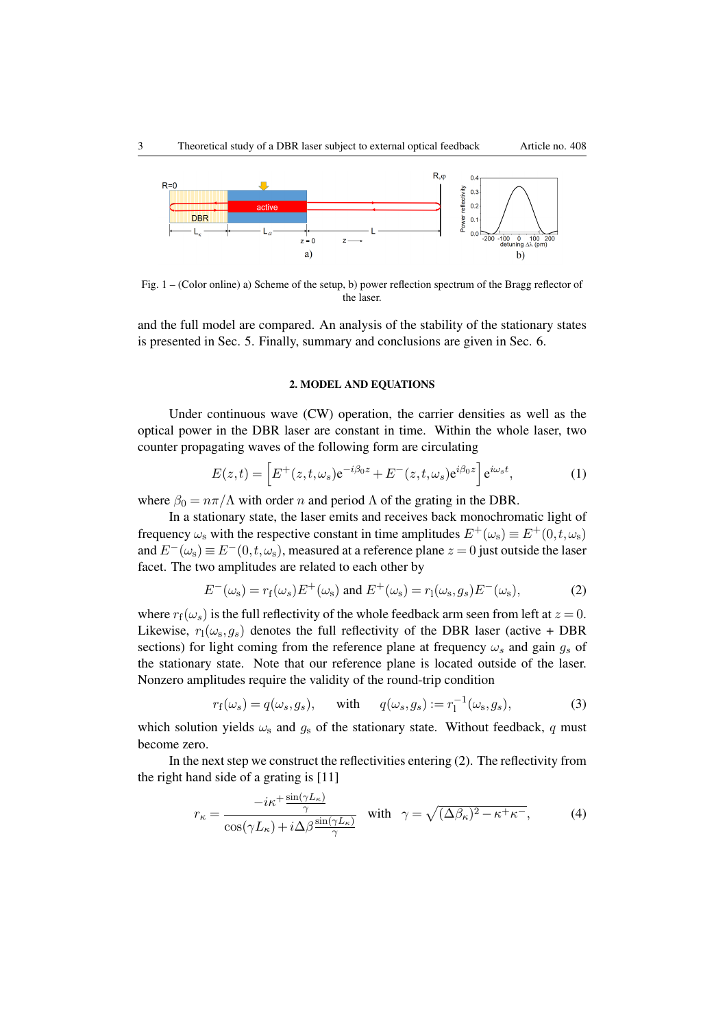

Fig. 1 – (Color online) a) Scheme of the setup, b) power reflection spectrum of the Bragg reflector of the laser.

and the full model are compared. An analysis of the stability of the stationary states is presented in Sec. 5. Finally, summary and conclusions are given in Sec. 6.

# <span id="page-2-1"></span><span id="page-2-0"></span>2. MODEL AND EQUATIONS

Under continuous wave (CW) operation, the carrier densities as well as the optical power in the DBR laser are constant in time. Within the whole laser, two counter propagating waves of the following form are circulating

$$
E(z,t) = \left[ E^+(z,t,\omega_s) e^{-i\beta_0 z} + E^-(z,t,\omega_s) e^{i\beta_0 z} \right] e^{i\omega_s t},\tag{1}
$$

where  $\beta_0 = n\pi/\Lambda$  with order n and period  $\Lambda$  of the grating in the DBR.

In a stationary state, the laser emits and receives back monochromatic light of frequency  $\omega_s$  with the respective constant in time amplitudes  $E^+(\omega_s) \equiv E^+(0, t, \omega_s)$ and  $E^{-}(\omega_s) \equiv E^{-}(0, t, \omega_s)$ , measured at a reference plane  $z = 0$  just outside the laser facet. The two amplitudes are related to each other by

$$
E^{-}(\omega_{\rm s}) = r_{\rm f}(\omega_{s})E^{+}(\omega_{\rm s}) \text{ and } E^{+}(\omega_{\rm s}) = r_{\rm l}(\omega_{\rm s}, g_{s})E^{-}(\omega_{\rm s}), \tag{2}
$$

where  $r_f(\omega_s)$  is the full reflectivity of the whole feedback arm seen from left at  $z = 0$ . Likewise,  $r_1(\omega_s, g_s)$  denotes the full reflectivity of the DBR laser (active + DBR sections) for light coming from the reference plane at frequency  $\omega_s$  and gain  $g_s$  of the stationary state. Note that our reference plane is located outside of the laser. Nonzero amplitudes require the validity of the round-trip condition

<span id="page-2-2"></span>
$$
r_{\mathbf{f}}(\omega_s) = q(\omega_s, g_s), \quad \text{with} \quad q(\omega_s, g_s) := r_1^{-1}(\omega_s, g_s), \tag{3}
$$

which solution yields  $\omega_s$  and  $g_s$  of the stationary state. Without feedback, q must become zero.

In the next step we construct the reflectivities entering [\(2\)](#page-2-1). The reflectivity from the right hand side of a grating is [\[11\]](#page-11-8)

$$
r_{\kappa} = \frac{-i\kappa^{+} \frac{\sin(\gamma L_{\kappa})}{\gamma}}{\cos(\gamma L_{\kappa}) + i\Delta\beta \frac{\sin(\gamma L_{\kappa})}{\gamma}} \quad \text{with} \quad \gamma = \sqrt{(\Delta\beta_{\kappa})^{2} - \kappa^{+}\kappa^{-}}, \tag{4}
$$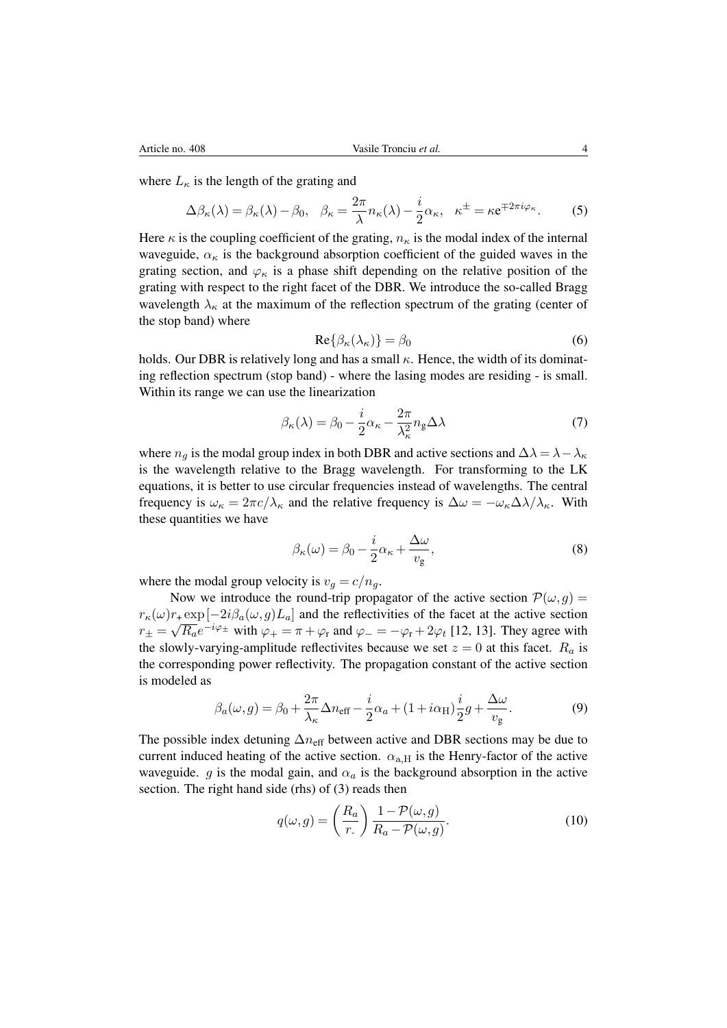where  $L_{\kappa}$  is the length of the grating and

$$
\Delta \beta_{\kappa}(\lambda) = \beta_{\kappa}(\lambda) - \beta_0, \quad \beta_{\kappa} = \frac{2\pi}{\lambda} n_{\kappa}(\lambda) - \frac{i}{2} \alpha_{\kappa}, \quad \kappa^{\pm} = \kappa e^{\mp 2\pi i \varphi_{\kappa}}.
$$
 (5)

Here  $\kappa$  is the coupling coefficient of the grating,  $n_{\kappa}$  is the modal index of the internal waveguide,  $\alpha_{\kappa}$  is the background absorption coefficient of the guided waves in the grating section, and  $\varphi_{\kappa}$  is a phase shift depending on the relative position of the grating with respect to the right facet of the DBR. We introduce the so-called Bragg wavelength  $\lambda_{\kappa}$  at the maximum of the reflection spectrum of the grating (center of the stop band) where

$$
\operatorname{Re}\{\beta_{\kappa}(\lambda_{\kappa})\} = \beta_0 \tag{6}
$$

holds. Our DBR is relatively long and has a small  $\kappa$ . Hence, the width of its dominating reflection spectrum (stop band) - where the lasing modes are residing - is small. Within its range we can use the linearization

$$
\beta_{\kappa}(\lambda) = \beta_0 - \frac{i}{2}\alpha_{\kappa} - \frac{2\pi}{\lambda_{\kappa}^2}n_{\mathbf{g}}\Delta\lambda
$$
\n(7)

where  $n_q$  is the modal group index in both DBR and active sections and  $\Delta\lambda = \lambda - \lambda_{\kappa}$ is the wavelength relative to the Bragg wavelength. For transforming to the LK equations, it is better to use circular frequencies instead of wavelengths. The central frequency is  $\omega_{\kappa} = 2\pi c/\lambda_{\kappa}$  and the relative frequency is  $\Delta \omega = -\omega_{\kappa} \Delta \lambda / \lambda_{\kappa}$ . With these quantities we have

$$
\beta_{\kappa}(\omega) = \beta_0 - \frac{i}{2}\alpha_{\kappa} + \frac{\Delta\omega}{v_{\rm g}},\tag{8}
$$

where the modal group velocity is  $v_g = c/n_g$ .

Now we introduce the round-trip propagator of the active section  $\mathcal{P}(\omega, g) =$  $r_{\kappa}(\omega)r_+\exp[-2i\beta_a(\omega,g)L_a]$  and the reflectivities of the facet at the active section  $r_{\pm} = \sqrt{R_a}e^{-i\varphi_{\pm}}$  with  $\varphi_{+} = \pi + \varphi_{\rm r}$  and  $\varphi_{-} = -\varphi_{\rm r} + 2\varphi_{\rm t}$  [\[12,](#page-11-9) [13\]](#page-11-10). They agree with the slowly-varying-amplitude reflectivites because we set  $z = 0$  at this facet.  $R_a$  is the corresponding power reflectivity. The propagation constant of the active section is modeled as

$$
\beta_a(\omega, g) = \beta_0 + \frac{2\pi}{\lambda_\kappa} \Delta n_{\text{eff}} - \frac{i}{2}\alpha_a + (1 + i\alpha_{\text{H}})\frac{i}{2}g + \frac{\Delta\omega}{v_g}.
$$
 (9)

The possible index detuning  $\Delta n_{\text{eff}}$  between active and DBR sections may be due to current induced heating of the active section.  $\alpha_{a,H}$  is the Henry-factor of the active waveguide. g is the modal gain, and  $\alpha_a$  is the background absorption in the active section. The right hand side (rhs) of [\(3\)](#page-2-2) reads then

$$
q(\omega, g) = \left(\frac{R_a}{r}\right) \frac{1 - \mathcal{P}(\omega, g)}{R_a - \mathcal{P}(\omega, g)}.
$$
\n(10)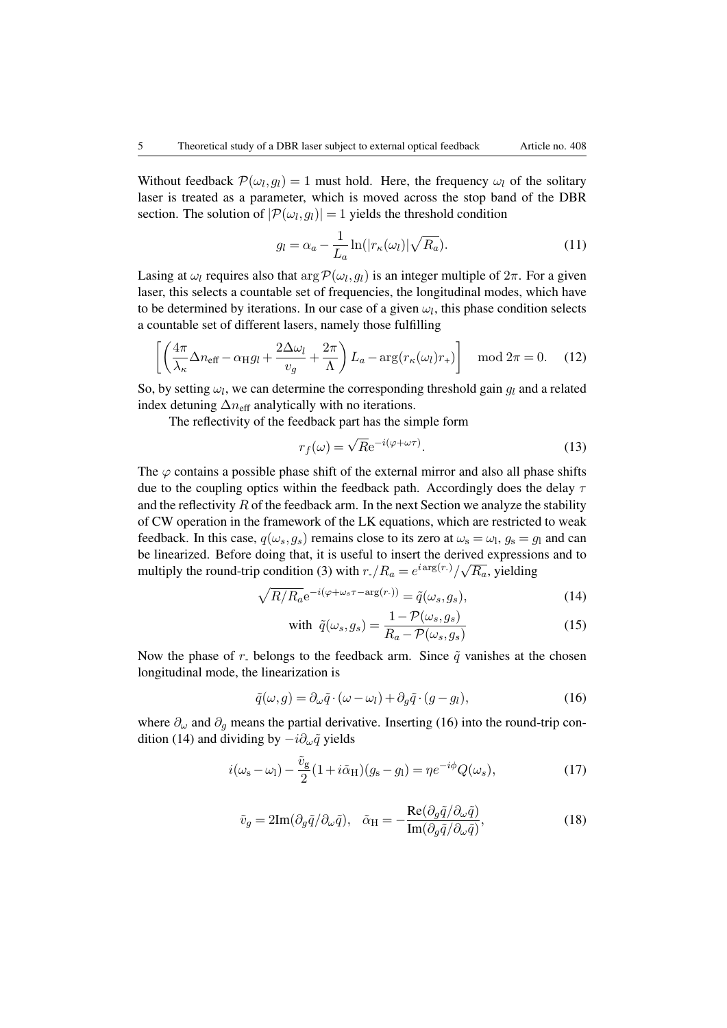Without feedback  $\mathcal{P}(\omega_l, g_l) = 1$  must hold. Here, the frequency  $\omega_l$  of the solitary laser is treated as a parameter, which is moved across the stop band of the DBR section. The solution of  $|\mathcal{P}(\omega_l, g_l)| = 1$  yields the threshold condition

$$
g_l = \alpha_a - \frac{1}{L_a} \ln(|r_\kappa(\omega_l)| \sqrt{R_a}). \tag{11}
$$

Lasing at  $\omega_l$  requires also that  $\arg P(\omega_l, g_l)$  is an integer multiple of  $2\pi$ . For a given laser, this selects a countable set of frequencies, the longitudinal modes, which have to be determined by iterations. In our case of a given  $\omega_l$ , this phase condition selects a countable set of different lasers, namely those fulfilling

$$
\left[ \left( \frac{4\pi}{\lambda_{\kappa}} \Delta n_{\rm eff} - \alpha_{\rm H} g_l + \frac{2\Delta \omega_l}{v_g} + \frac{2\pi}{\Lambda} \right) L_a - \arg(r_{\kappa}(\omega_l) r_+) \right] \mod 2\pi = 0. \quad (12)
$$

So, by setting  $\omega_l$ , we can determine the corresponding threshold gain  $g_l$  and a related index detuning  $\Delta n_{\text{eff}}$  analytically with no iterations.

The reflectivity of the feedback part has the simple form

$$
r_f(\omega) = \sqrt{R}e^{-i(\varphi + \omega \tau)}.
$$
 (13)

The  $\varphi$  contains a possible phase shift of the external mirror and also all phase shifts due to the coupling optics within the feedback path. Accordingly does the delay  $\tau$ and the reflectivity  $R$  of the feedback arm. In the next Section we analyze the stability of CW operation in the framework of the LK equations, which are restricted to weak feedback. In this case,  $q(\omega_s, g_s)$  remains close to its zero at  $\omega_s = \omega_l$ ,  $g_s = g_l$  and can be linearized. Before doing that, it is useful to insert the derived expressions and to multiply the round-trip condition [\(3\)](#page-2-2) with  $r_{\perp}/R_a = e^{i \arg(r_{\perp})}/\sqrt{R_a}$ , yielding

$$
\sqrt{R/R_a}e^{-i(\varphi + \omega_s \tau - \arg(r.))} = \tilde{q}(\omega_s, g_s),\tag{14}
$$

<span id="page-4-1"></span><span id="page-4-0"></span>with 
$$
\tilde{q}(\omega_s, g_s) = \frac{1 - \mathcal{P}(\omega_s, g_s)}{R_a - \mathcal{P}(\omega_s, g_s)}
$$
 (15)

Now the phase of r. belongs to the feedback arm. Since  $\tilde{q}$  vanishes at the chosen longitudinal mode, the linearization is

$$
\tilde{q}(\omega, g) = \partial_{\omega}\tilde{q} \cdot (\omega - \omega_l) + \partial_g \tilde{q} \cdot (g - g_l),\tag{16}
$$

where  $\partial_{\omega}$  and  $\partial_{g}$  means the partial derivative. Inserting [\(16\)](#page-4-0) into the round-trip con-dition [\(14\)](#page-4-1) and dividing by  $-i\partial_{\omega}\tilde{q}$  yields

$$
i(\omega_{\rm s} - \omega_{\rm l}) - \frac{\tilde{v}_{\rm g}}{2}(1 + i\tilde{\alpha}_{\rm H})(g_{\rm s} - g_{\rm l}) = \eta e^{-i\phi} Q(\omega_s),\tag{17}
$$

$$
\tilde{v}_g = 2\mathrm{Im}(\partial_g \tilde{q}/\partial_\omega \tilde{q}), \quad \tilde{\alpha}_{\mathrm{H}} = -\frac{\mathrm{Re}(\partial_g \tilde{q}/\partial_\omega \tilde{q})}{\mathrm{Im}(\partial_g \tilde{q}/\partial_\omega \tilde{q})},\tag{18}
$$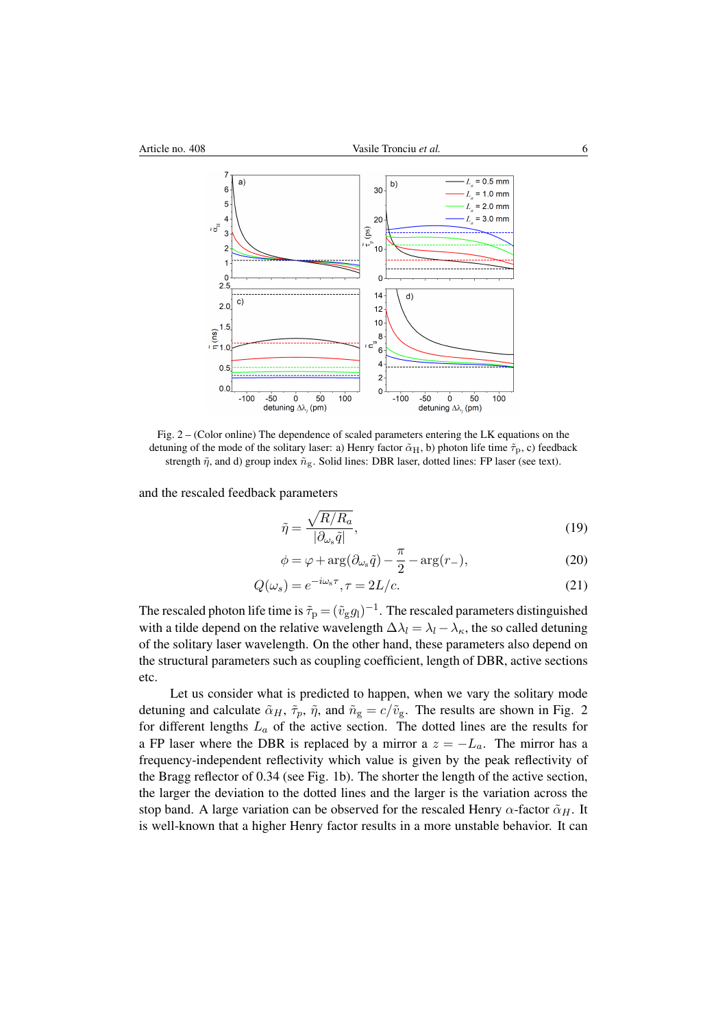

<span id="page-5-0"></span>Fig. 2 – (Color online) The dependence of scaled parameters entering the LK equations on the detuning of the mode of the solitary laser: a) Henry factor  $\tilde{\alpha}_H$ , b) photon life time  $\tilde{\tau}_p$ , c) feedback strength  $\tilde{\eta}$ , and d) group index  $\tilde{n}_{g}$ . Solid lines: DBR laser, dotted lines: FP laser (see text).

and the rescaled feedback parameters

$$
\tilde{\eta} = \frac{\sqrt{R/R_a}}{|\partial_{\omega_s}\tilde{q}|},\tag{19}
$$

$$
\phi = \varphi + \arg(\partial_{\omega_s}\tilde{q}) - \frac{\pi}{2} - \arg(r_-),\tag{20}
$$

$$
Q(\omega_s) = e^{-i\omega_s \tau}, \tau = 2L/c.
$$
\n(21)

The rescaled photon life time is  $\tilde{\tau}_\mathrm{p} = (\tilde{v}_\mathrm{g} g_\mathrm{l})^{-1}$ . The rescaled parameters distinguished with a tilde depend on the relative wavelength  $\Delta \lambda_l = \lambda_l - \lambda_k$ , the so called detuning of the solitary laser wavelength. On the other hand, these parameters also depend on the structural parameters such as coupling coefficient, length of DBR, active sections etc.

Let us consider what is predicted to happen, when we vary the solitary mode detuning and calculate  $\tilde{\alpha}_H$ ,  $\tilde{\tau}_p$ ,  $\tilde{\eta}$ , and  $\tilde{n}_g = c/\tilde{v}_g$ . The results are shown in Fig. 2 for different lengths  $L_a$  of the active section. The dotted lines are the results for a FP laser where the DBR is replaced by a mirror a  $z = -L_a$ . The mirror has a frequency-independent reflectivity which value is given by the peak reflectivity of the Bragg reflector of 0.34 (see Fig. 1b). The shorter the length of the active section, the larger the deviation to the dotted lines and the larger is the variation across the stop band. A large variation can be observed for the rescaled Henry  $\alpha$ -factor  $\tilde{\alpha}_H$ . It is well-known that a higher Henry factor results in a more unstable behavior. It can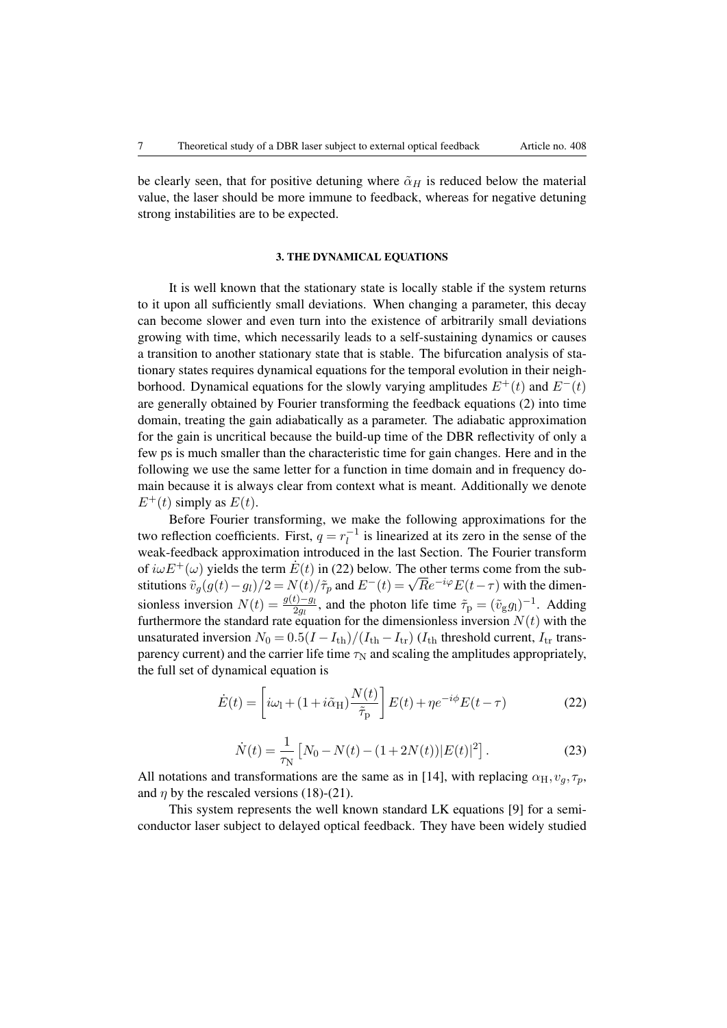be clearly seen, that for positive detuning where  $\tilde{\alpha}_H$  is reduced below the material value, the laser should be more immune to feedback, whereas for negative detuning strong instabilities are to be expected.

#### 3. THE DYNAMICAL EQUATIONS

It is well known that the stationary state is locally stable if the system returns to it upon all sufficiently small deviations. When changing a parameter, this decay can become slower and even turn into the existence of arbitrarily small deviations growing with time, which necessarily leads to a self-sustaining dynamics or causes a transition to another stationary state that is stable. The bifurcation analysis of stationary states requires dynamical equations for the temporal evolution in their neighborhood. Dynamical equations for the slowly varying amplitudes  $E^+(t)$  and  $E^-(t)$ are generally obtained by Fourier transforming the feedback equations [\(2\)](#page-2-1) into time domain, treating the gain adiabatically as a parameter. The adiabatic approximation for the gain is uncritical because the build-up time of the DBR reflectivity of only a few ps is much smaller than the characteristic time for gain changes. Here and in the following we use the same letter for a function in time domain and in frequency domain because it is always clear from context what is meant. Additionally we denote  $E^+(t)$  simply as  $E(t)$ .

Before Fourier transforming, we make the following approximations for the two reflection coefficients. First,  $q = r_l^{-1}$  $\overline{l}$ <sup>-1</sup> is linearized at its zero in the sense of the weak-feedback approximation introduced in the last Section. The Fourier transform of  $i\omega E^{+}(\omega)$  yields the term  $\dot{E}(t)$  in [\(22\)](#page-6-0) below. The other terms come from the substitutions  $\tilde{v}_g(g(t)-g_l)/2 = N(t)/\tilde{\tau}_p$  and  $E^-(t) = \sqrt{R}e^{-i\varphi}E(t-\tau)$  with the dimensiones sionless inversion  $N(t) = \frac{g(t) - g_l}{2g_l}$ , and the photon life time  $\tilde{\tau}_p = (\tilde{v}_g g_l)^{-1}$ . Adding furthermore the standard rate equation for the dimensionless inversion  $N(t)$  with the unsaturated inversion  $N_0 = 0.5(I - I_{\text{th}})/(I_{\text{th}} - I_{\text{tr}})$  ( $I_{\text{th}}$  threshold current,  $I_{\text{tr}}$  transparency current) and the carrier life time  $\tau_N$  and scaling the amplitudes appropriately, the full set of dynamical equation is

<span id="page-6-0"></span>
$$
\dot{E}(t) = \left[i\omega_{\rm l} + (1 + i\tilde{\alpha}_{\rm H})\frac{N(t)}{\tilde{\tau}_{\rm p}}\right]E(t) + \eta e^{-i\phi}E(t - \tau) \tag{22}
$$

$$
\dot{N}(t) = \frac{1}{\tau_N} \left[ N_0 - N(t) - (1 + 2N(t)) |E(t)|^2 \right].
$$
\n(23)

<span id="page-6-1"></span>All notations and transformations are the same as in [\[14\]](#page-11-11), with replacing  $\alpha_{\rm H}, v_q, \tau_p$ , and  $\eta$  by the rescaled versions (18)-(21).

This system represents the well known standard LK equations [\[9\]](#page-11-6) for a semiconductor laser subject to delayed optical feedback. They have been widely studied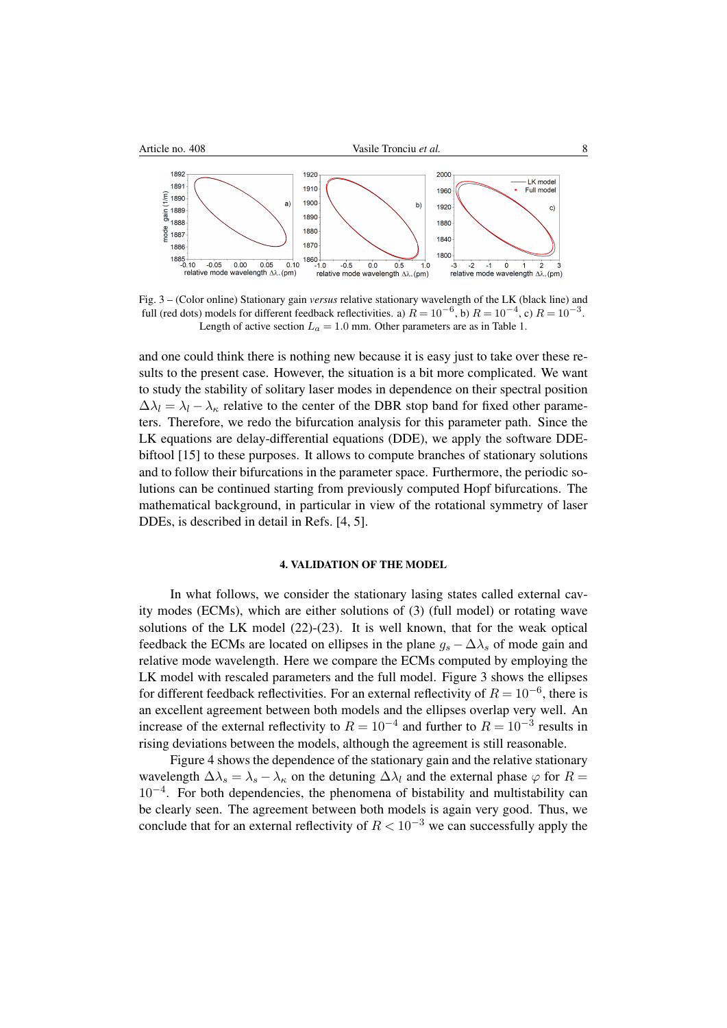

<span id="page-7-0"></span>Fig. 3 – (Color online) Stationary gain *versus* relative stationary wavelength of the LK (black line) and full (red dots) models for different feedback reflectivities. a)  $R = 10^{-6}$ , b)  $R = 10^{-4}$ , c)  $R = 10^{-3}$ . Length of active section  $L_a = 1.0$  mm. Other parameters are as in Table 1.

and one could think there is nothing new because it is easy just to take over these results to the present case. However, the situation is a bit more complicated. We want to study the stability of solitary laser modes in dependence on their spectral position  $\Delta \lambda_l = \lambda_l - \lambda_{\kappa}$  relative to the center of the DBR stop band for fixed other parameters. Therefore, we redo the bifurcation analysis for this parameter path. Since the LK equations are delay-differential equations (DDE), we apply the software DDEbiftool [\[15\]](#page-11-12) to these purposes. It allows to compute branches of stationary solutions and to follow their bifurcations in the parameter space. Furthermore, the periodic solutions can be continued starting from previously computed Hopf bifurcations. The mathematical background, in particular in view of the rotational symmetry of laser DDEs, is described in detail in Refs. [\[4,](#page-11-2) [5\]](#page-11-13).

### 4. VALIDATION OF THE MODEL

In what follows, we consider the stationary lasing states called external cavity modes (ECMs), which are either solutions of [\(3\)](#page-2-2) (full model) or rotating wave solutions of the LK model [\(22\)](#page-6-0)-[\(23\)](#page-6-1). It is well known, that for the weak optical feedback the ECMs are located on ellipses in the plane  $g_s - \Delta \lambda_s$  of mode gain and relative mode wavelength. Here we compare the ECMs computed by employing the LK model with rescaled parameters and the full model. Figure [3](#page-7-0) shows the ellipses for different feedback reflectivities. For an external reflectivity of  $R = 10^{-6}$ , there is an excellent agreement between both models and the ellipses overlap very well. An increase of the external reflectivity to  $R = 10^{-4}$  and further to  $R = 10^{-3}$  results in rising deviations between the models, although the agreement is still reasonable.

Figure [4](#page-8-0) shows the dependence of the stationary gain and the relative stationary wavelength  $\Delta \lambda_s = \lambda_s - \lambda_{\kappa}$  on the detuning  $\Delta \lambda_l$  and the external phase  $\varphi$  for  $R =$ 10−<sup>4</sup> . For both dependencies, the phenomena of bistability and multistability can be clearly seen. The agreement between both models is again very good. Thus, we conclude that for an external reflectivity of  $R < 10^{-3}$  we can successfully apply the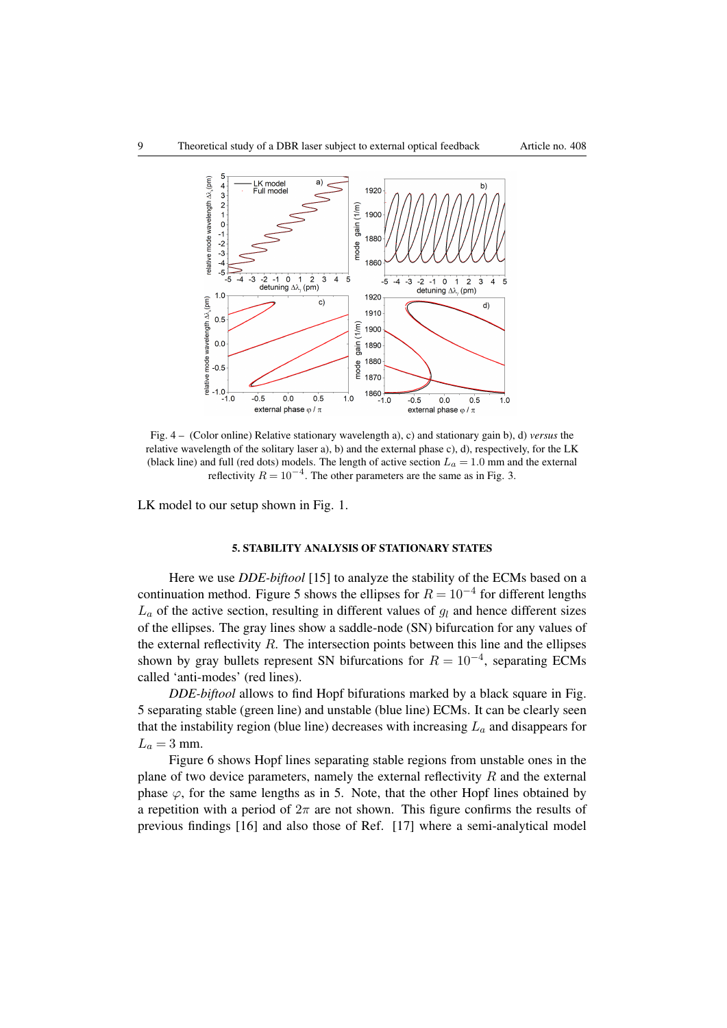

Fig. 4 – (Color online) Relative stationary wavelength a), c) and stationary gain b), d) *versus* the relative wavelength of the solitary laser a), b) and the external phase c), d), respectively, for the LK (black line) and full (red dots) models. The length of active section  $L_a = 1.0$  mm and the external reflectivity  $R = 10^{-4}$ . The other parameters are the same as in Fig. 3.

LK model to our setup shown in Fig. 1.

### <span id="page-8-0"></span>5. STABILITY ANALYSIS OF STATIONARY STATES

Here we use *DDE-biftool* [\[15\]](#page-11-12) to analyze the stability of the ECMs based on a continuation method. Figure [5](#page-9-0) shows the ellipses for  $R = 10^{-4}$  for different lengths  $L_a$  of the active section, resulting in different values of  $q_l$  and hence different sizes of the ellipses. The gray lines show a saddle-node (SN) bifurcation for any values of the external reflectivity  $R$ . The intersection points between this line and the ellipses shown by gray bullets represent SN bifurcations for  $R = 10^{-4}$ , separating ECMs called 'anti-modes' (red lines).

*DDE-biftool* allows to find Hopf bifurations marked by a black square in Fig. [5](#page-9-0) separating stable (green line) and unstable (blue line) ECMs. It can be clearly seen that the instability region (blue line) decreases with increasing  $L_a$  and disappears for  $L_a = 3$  mm.

Figure [6](#page-9-1) shows Hopf lines separating stable regions from unstable ones in the plane of two device parameters, namely the external reflectivity  $R$  and the external phase  $\varphi$ , for the same lengths as in [5.](#page-9-0) Note, that the other Hopf lines obtained by a repetition with a period of  $2\pi$  are not shown. This figure confirms the results of previous findings [\[16\]](#page-11-14) and also those of Ref. [\[17\]](#page-11-15) where a semi-analytical model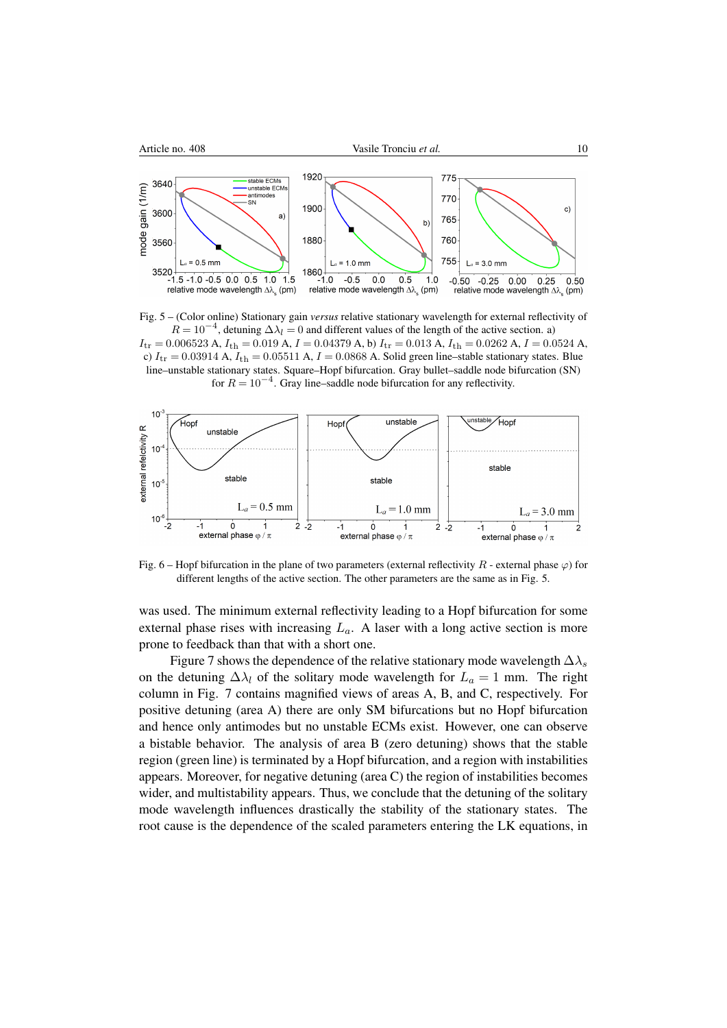

<span id="page-9-0"></span>Fig. 5 – (Color online) Stationary gain *versus* relative stationary wavelength for external reflectivity of  $R = 10^{-4}$ , detuning  $\Delta \lambda_l = 0$  and different values of the length of the active section. a)  $I_{tr} = 0.006523$  A,  $I_{th} = 0.019$  A,  $I = 0.04379$  A, b)  $I_{tr} = 0.013$  A,  $I_{th} = 0.0262$  A,  $I = 0.0524$  A, c)  $I_{tr} = 0.03914$  A,  $I_{th} = 0.05511$  A,  $I = 0.0868$  A. Solid green line–stable stationary states. Blue line–unstable stationary states. Square–Hopf bifurcation. Gray bullet–saddle node bifurcation (SN) for  $R = 10^{-4}$ . Gray line–saddle node bifurcation for any reflectivity.



<span id="page-9-1"></span>Fig. 6 – Hopf bifurcation in the plane of two parameters (external reflectivity R - external phase  $\varphi$ ) for different lengths of the active section. The other parameters are the same as in Fig. [5.](#page-9-0)

was used. The minimum external reflectivity leading to a Hopf bifurcation for some external phase rises with increasing  $L_a$ . A laser with a long active section is more prone to feedback than that with a short one.

Figure [7](#page-10-0) shows the dependence of the relative stationary mode wavelength  $\Delta\lambda_s$ on the detuning  $\Delta \lambda_l$  of the solitary mode wavelength for  $L_a = 1$  mm. The right column in Fig. [7](#page-10-0) contains magnified views of areas A, B, and C, respectively. For positive detuning (area A) there are only SM bifurcations but no Hopf bifurcation and hence only antimodes but no unstable ECMs exist. However, one can observe a bistable behavior. The analysis of area B (zero detuning) shows that the stable region (green line) is terminated by a Hopf bifurcation, and a region with instabilities appears. Moreover, for negative detuning (area C) the region of instabilities becomes wider, and multistability appears. Thus, we conclude that the detuning of the solitary mode wavelength influences drastically the stability of the stationary states. The root cause is the dependence of the scaled parameters entering the LK equations, in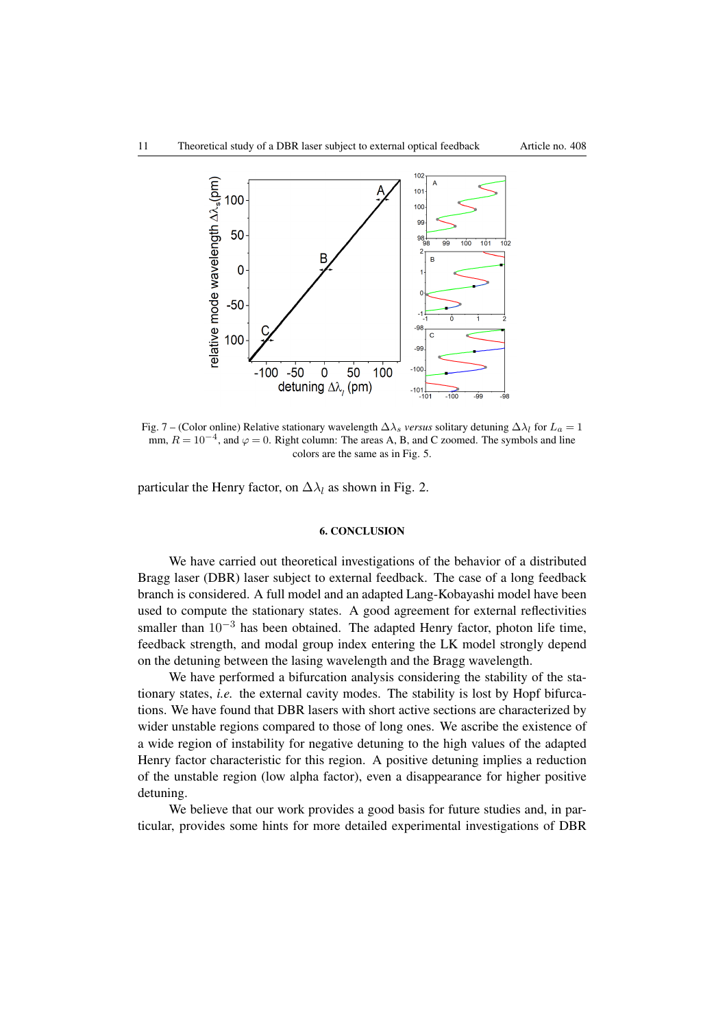

Fig. 7 – (Color online) Relative stationary wavelength  $\Delta\lambda_s$  *versus* solitary detuning  $\Delta\lambda_l$  for  $L_a = 1$ mm,  $R = 10^{-4}$ , and  $\varphi = 0$ . Right column: The areas A, B, and C zoomed. The symbols and line colors are the same as in Fig. [5.](#page-9-0)

particular the Henry factor, on  $\Delta \lambda_l$  as shown in Fig. [2.](#page-5-0)

#### <span id="page-10-0"></span>6. CONCLUSION

We have carried out theoretical investigations of the behavior of a distributed Bragg laser (DBR) laser subject to external feedback. The case of a long feedback branch is considered. A full model and an adapted Lang-Kobayashi model have been used to compute the stationary states. A good agreement for external reflectivities smaller than  $10^{-3}$  has been obtained. The adapted Henry factor, photon life time, feedback strength, and modal group index entering the LK model strongly depend on the detuning between the lasing wavelength and the Bragg wavelength.

We have performed a bifurcation analysis considering the stability of the stationary states, *i.e.* the external cavity modes. The stability is lost by Hopf bifurcations. We have found that DBR lasers with short active sections are characterized by wider unstable regions compared to those of long ones. We ascribe the existence of a wide region of instability for negative detuning to the high values of the adapted Henry factor characteristic for this region. A positive detuning implies a reduction of the unstable region (low alpha factor), even a disappearance for higher positive detuning.

We believe that our work provides a good basis for future studies and, in particular, provides some hints for more detailed experimental investigations of DBR